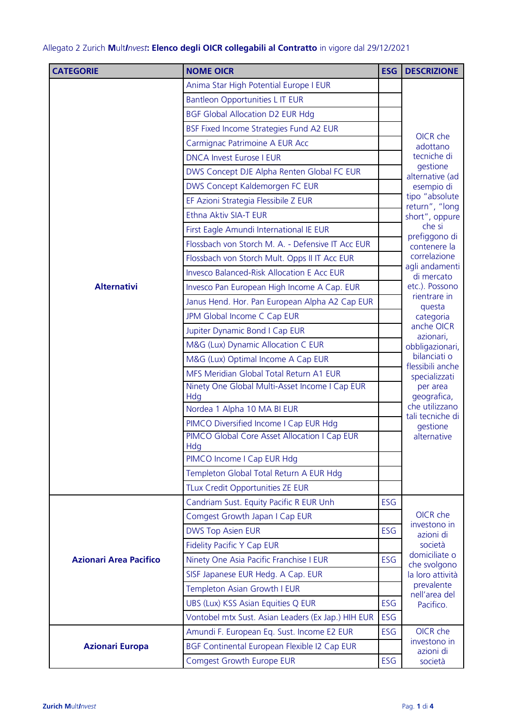## Allegato 2 Zurich **M**ult*Invest***: Elenco degli OICR collegabili al Contratto** in vigore dal 29/12/2021

| <b>CATEGORIE</b>              | <b>NOME OICR</b>                                                                       | <b>ESG</b> | <b>DESCRIZIONE</b>                                                                                                                                                                      |
|-------------------------------|----------------------------------------------------------------------------------------|------------|-----------------------------------------------------------------------------------------------------------------------------------------------------------------------------------------|
|                               | Anima Star High Potential Europe I EUR                                                 |            | OICR che<br>adottano<br>tecniche di<br>gestione<br>alternative (ad<br>esempio di                                                                                                        |
|                               | Bantleon Opportunities L IT EUR                                                        |            |                                                                                                                                                                                         |
|                               | <b>BGF Global Allocation D2 EUR Hdg</b>                                                |            |                                                                                                                                                                                         |
|                               | BSF Fixed Income Strategies Fund A2 EUR                                                |            |                                                                                                                                                                                         |
|                               | Carmignac Patrimoine A EUR Acc                                                         |            |                                                                                                                                                                                         |
|                               | <b>DNCA Invest Eurose I EUR</b>                                                        |            |                                                                                                                                                                                         |
|                               | DWS Concept DJE Alpha Renten Global FC EUR                                             |            |                                                                                                                                                                                         |
|                               | DWS Concept Kaldemorgen FC EUR                                                         |            |                                                                                                                                                                                         |
|                               | EF Azioni Strategia Flessibile Z EUR                                                   |            | tipo "absolute                                                                                                                                                                          |
|                               | Ethna Aktiv SIA-T EUR                                                                  |            | return", "long<br>short", oppure<br>che si<br>prefiggono di<br>contenere la                                                                                                             |
|                               | First Eagle Amundi International IE EUR                                                |            |                                                                                                                                                                                         |
|                               | Flossbach von Storch M. A. - Defensive IT Acc EUR                                      |            |                                                                                                                                                                                         |
|                               | Flossbach von Storch Mult. Opps II IT Acc EUR                                          |            | correlazione                                                                                                                                                                            |
|                               | <b>Invesco Balanced-Risk Allocation E Acc EUR</b>                                      |            | agli andamenti<br>di mercato                                                                                                                                                            |
| <b>Alternativi</b>            | Invesco Pan European High Income A Cap. EUR                                            |            | etc.). Possono                                                                                                                                                                          |
|                               | Janus Hend. Hor. Pan European Alpha A2 Cap EUR                                         |            | rientrare in                                                                                                                                                                            |
|                               | JPM Global Income C Cap EUR                                                            |            | questa<br>categoria<br>anche OICR<br>azionari,<br>obbligazionari,<br>bilanciati o<br>flessibili anche<br>specializzati<br>per area<br>geografica,<br>che utilizzano<br>tali tecniche di |
|                               | Jupiter Dynamic Bond I Cap EUR                                                         |            |                                                                                                                                                                                         |
|                               | M&G (Lux) Dynamic Allocation C EUR                                                     |            |                                                                                                                                                                                         |
|                               | M&G (Lux) Optimal Income A Cap EUR                                                     |            |                                                                                                                                                                                         |
|                               | MFS Meridian Global Total Return A1 EUR                                                |            |                                                                                                                                                                                         |
|                               | Ninety One Global Multi-Asset Income I Cap EUR                                         |            |                                                                                                                                                                                         |
|                               | Hdg                                                                                    |            |                                                                                                                                                                                         |
|                               | Nordea 1 Alpha 10 MA BI EUR                                                            |            |                                                                                                                                                                                         |
|                               | PIMCO Diversified Income I Cap EUR Hdg<br>PIMCO Global Core Asset Allocation I Cap EUR |            | gestione<br>alternative                                                                                                                                                                 |
|                               | Hdg                                                                                    |            |                                                                                                                                                                                         |
|                               | PIMCO Income I Cap EUR Hdg                                                             |            |                                                                                                                                                                                         |
|                               | Templeton Global Total Return A EUR Hdg                                                |            |                                                                                                                                                                                         |
|                               | TLux Credit Opportunities ZE EUR                                                       |            |                                                                                                                                                                                         |
|                               | Candriam Sust. Equity Pacific R EUR Unh                                                | ESG        |                                                                                                                                                                                         |
|                               | Comgest Growth Japan I Cap EUR                                                         |            | OICR che                                                                                                                                                                                |
|                               | <b>DWS Top Asien EUR</b>                                                               | ESG        | investono in<br>azioni di                                                                                                                                                               |
|                               | <b>Fidelity Pacific Y Cap EUR</b>                                                      |            | società                                                                                                                                                                                 |
| <b>Azionari Area Pacifico</b> | Ninety One Asia Pacific Franchise I EUR                                                | ESG        | domiciliate o<br>che svolgono                                                                                                                                                           |
|                               | SISF Japanese EUR Hedg. A Cap. EUR                                                     |            | la loro attività                                                                                                                                                                        |
|                               | Templeton Asian Growth I EUR                                                           |            | prevalente<br>nell'area del<br>Pacifico.                                                                                                                                                |
|                               | UBS (Lux) KSS Asian Equities Q EUR                                                     | ESG        |                                                                                                                                                                                         |
|                               | Vontobel mtx Sust. Asian Leaders (Ex Jap.) HIH EUR                                     | ESG        |                                                                                                                                                                                         |
| <b>Azionari Europa</b>        | Amundi F. European Eq. Sust. Income E2 EUR                                             | ESG        | OICR che                                                                                                                                                                                |
|                               | BGF Continental European Flexible I2 Cap EUR                                           |            | investono in<br>azioni di<br>società                                                                                                                                                    |
|                               | <b>Comgest Growth Europe EUR</b>                                                       | ESG        |                                                                                                                                                                                         |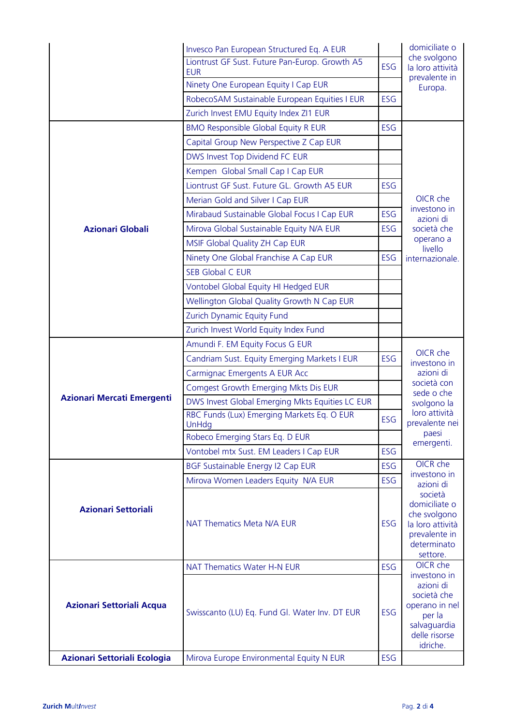|                                   | Invesco Pan European Structured Eq. A EUR                    |     | domiciliate o                                                                                                     |
|-----------------------------------|--------------------------------------------------------------|-----|-------------------------------------------------------------------------------------------------------------------|
|                                   | Liontrust GF Sust. Future Pan-Europ. Growth A5<br><b>EUR</b> | ESG | che svolgono<br>la loro attività<br>prevalente in                                                                 |
|                                   | Ninety One European Equity I Cap EUR                         |     | Europa.                                                                                                           |
|                                   | RobecoSAM Sustainable European Equities I EUR                | ESG |                                                                                                                   |
|                                   | Zurich Invest EMU Equity Index ZI1 EUR                       |     |                                                                                                                   |
|                                   | <b>BMO Responsible Global Equity R EUR</b>                   | ESG |                                                                                                                   |
|                                   | Capital Group New Perspective Z Cap EUR                      |     |                                                                                                                   |
|                                   | DWS Invest Top Dividend FC EUR                               |     |                                                                                                                   |
|                                   | Kempen Global Small Cap I Cap EUR                            |     |                                                                                                                   |
|                                   | Liontrust GF Sust. Future GL. Growth A5 EUR                  | ESG |                                                                                                                   |
|                                   | Merian Gold and Silver I Cap EUR                             |     | OICR che                                                                                                          |
|                                   | Mirabaud Sustainable Global Focus I Cap EUR                  | ESG | investono in<br>azioni di                                                                                         |
| <b>Azionari Globali</b>           | Mirova Global Sustainable Equity N/A EUR                     | ESG | società che                                                                                                       |
|                                   | MSIF Global Quality ZH Cap EUR                               |     | operano a                                                                                                         |
|                                   | Ninety One Global Franchise A Cap EUR                        | ESG | livello<br>internazionale.                                                                                        |
|                                   | <b>SEB Global C EUR</b>                                      |     |                                                                                                                   |
|                                   | Vontobel Global Equity HI Hedged EUR                         |     |                                                                                                                   |
|                                   | Wellington Global Quality Growth N Cap EUR                   |     |                                                                                                                   |
|                                   | Zurich Dynamic Equity Fund                                   |     |                                                                                                                   |
|                                   | Zurich Invest World Equity Index Fund                        |     |                                                                                                                   |
|                                   | Amundi F. EM Equity Focus G EUR                              |     |                                                                                                                   |
|                                   | Candriam Sust. Equity Emerging Markets I EUR                 | ESG | OICR che                                                                                                          |
|                                   | Carmignac Emergents A EUR Acc                                |     | investono in<br>azioni di<br>società con<br>sede o che<br>svolgono la<br>loro attività<br>prevalente nei          |
|                                   | Comgest Growth Emerging Mkts Dis EUR                         |     |                                                                                                                   |
| <b>Azionari Mercati Emergenti</b> | DWS Invest Global Emerging Mkts Equities LC EUR              |     |                                                                                                                   |
|                                   | RBC Funds (Lux) Emerging Markets Eq. O EUR<br>UnHda          | ESG |                                                                                                                   |
|                                   | Robeco Emerging Stars Eq. D EUR                              |     | paesi                                                                                                             |
|                                   | Vontobel mtx Sust. EM Leaders I Cap EUR                      | ESG | emergenti.                                                                                                        |
|                                   | BGF Sustainable Energy I2 Cap EUR                            | ESG | OICR che                                                                                                          |
| <b>Azionari Settoriali</b>        | Mirova Women Leaders Equity N/A EUR                          | ESG | investono in<br>azioni di                                                                                         |
|                                   | <b>NAT Thematics Meta N/A EUR</b>                            | ESG | società<br>domiciliate o<br>che svolgono<br>la loro attività<br>prevalente in<br>determinato<br>settore.          |
|                                   | NAT Thematics Water H-N EUR                                  | ESG | OICR che                                                                                                          |
| Azionari Settoriali Acqua         | Swisscanto (LU) Eq. Fund Gl. Water Inv. DT EUR               | ESG | investono in<br>azioni di<br>società che<br>operano in nel<br>per la<br>salvaguardia<br>delle risorse<br>idriche. |
| Azionari Settoriali Ecologia      | Mirova Europe Environmental Equity N EUR                     | ESG |                                                                                                                   |
|                                   |                                                              |     |                                                                                                                   |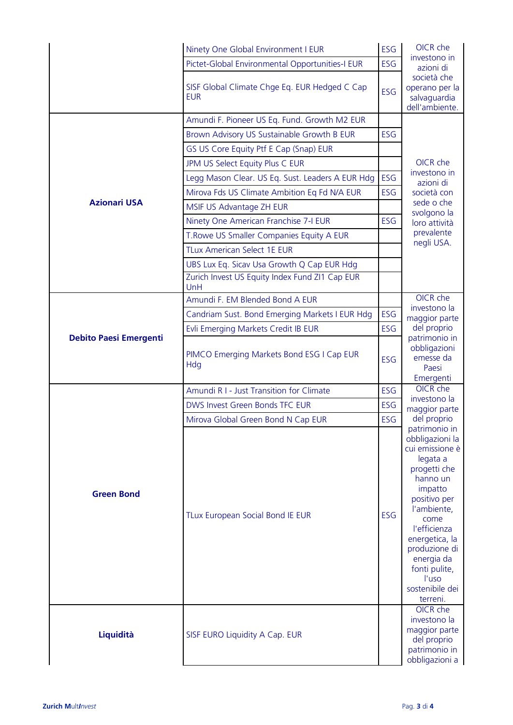|                               | Ninety One Global Environment I EUR                         | ESG        | OICR che                                                                                                                                                                                                                                                                |
|-------------------------------|-------------------------------------------------------------|------------|-------------------------------------------------------------------------------------------------------------------------------------------------------------------------------------------------------------------------------------------------------------------------|
|                               | Pictet-Global Environmental Opportunities-I EUR             | ESG        | investono in<br>azioni di                                                                                                                                                                                                                                               |
|                               | SISF Global Climate Chge Eq. EUR Hedged C Cap<br><b>EUR</b> | <b>ESG</b> | società che<br>operano per la<br>salvaguardia<br>dell'ambiente.                                                                                                                                                                                                         |
|                               | Amundi F. Pioneer US Eq. Fund. Growth M2 EUR                |            | OICR che<br>investono in<br>azioni di<br>società con                                                                                                                                                                                                                    |
|                               | Brown Advisory US Sustainable Growth B EUR                  | <b>ESG</b> |                                                                                                                                                                                                                                                                         |
|                               | GS US Core Equity Ptf E Cap (Snap) EUR                      |            |                                                                                                                                                                                                                                                                         |
|                               | JPM US Select Equity Plus C EUR                             |            |                                                                                                                                                                                                                                                                         |
|                               | Legg Mason Clear. US Eq. Sust. Leaders A EUR Hdg            | ESG        |                                                                                                                                                                                                                                                                         |
|                               | Mirova Fds US Climate Ambition Eq Fd N/A EUR                | ESG        |                                                                                                                                                                                                                                                                         |
| <b>Azionari USA</b>           | MSIF US Advantage ZH EUR                                    |            | sede o che                                                                                                                                                                                                                                                              |
|                               | Ninety One American Franchise 7-I EUR                       | ESG        | svolgono la<br>loro attività                                                                                                                                                                                                                                            |
|                               | T. Rowe US Smaller Companies Equity A EUR                   |            | prevalente                                                                                                                                                                                                                                                              |
|                               | <b>TLux American Select 1E EUR</b>                          |            | negli USA.                                                                                                                                                                                                                                                              |
|                               | UBS Lux Eq. Sicav Usa Growth Q Cap EUR Hdg                  |            |                                                                                                                                                                                                                                                                         |
|                               | Zurich Invest US Equity Index Fund ZI1 Cap EUR<br>UnH       |            |                                                                                                                                                                                                                                                                         |
|                               | Amundi F. EM Blended Bond A EUR                             |            | OICR che                                                                                                                                                                                                                                                                |
|                               | Candriam Sust. Bond Emerging Markets I EUR Hdg              | ESG        | investono la<br>maggior parte                                                                                                                                                                                                                                           |
|                               | Evli Emerging Markets Credit IB EUR                         | ESG        | del proprio                                                                                                                                                                                                                                                             |
| <b>Debito Paesi Emergenti</b> | PIMCO Emerging Markets Bond ESG I Cap EUR<br>Hdg            | ESG        | patrimonio in<br>obbligazioni<br>emesse da<br>Paesi<br>Emergenti                                                                                                                                                                                                        |
|                               | <b>Amundi R I - Just Transition for Climate</b>             | ESG        | OICR che                                                                                                                                                                                                                                                                |
|                               | DWS Invest Green Bonds TFC EUR                              | ESG        | investono la<br>maggior parte<br>del proprio                                                                                                                                                                                                                            |
|                               | Mirova Global Green Bond N Cap EUR                          | ESG        |                                                                                                                                                                                                                                                                         |
| <b>Green Bond</b>             | TLux European Social Bond IE EUR                            | ESG        | patrimonio in<br>obbligazioni la<br>cui emissione è<br>legata a<br>progetti che<br>hanno un<br>impatto<br>positivo per<br>l'ambiente,<br>come<br>l'efficienza<br>energetica, la<br>produzione di<br>energia da<br>fonti pulite,<br>l'uso<br>sostenibile dei<br>terreni. |
| Liquidità                     | SISF EURO Liquidity A Cap. EUR                              |            | OICR che<br>investono la<br>maggior parte<br>del proprio<br>patrimonio in<br>obbligazioni a                                                                                                                                                                             |